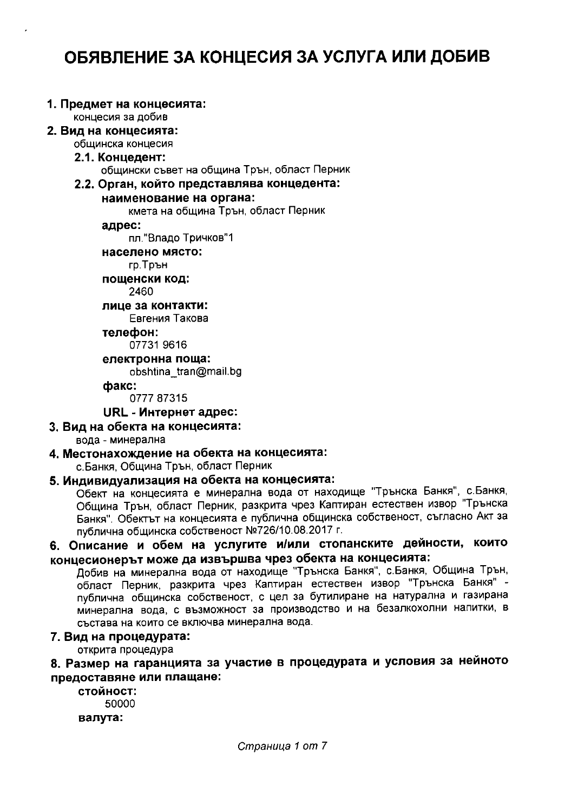# ОБЯВЛЕНИЕ ЗА КОНЦЕСИЯ ЗА УСЛУГА ИЛИ ДОБИВ

### 1. Предмет на концесията:

концесия за добив

#### 2. Вид на концесията: общинска концесия

### 2.1. Концедент:

общински съвет на община Трън, област Перник

### 2.2. Орган, който представлява концедента:

### наименование на органа:

кмета на община Трън, област Перник

### адрес:

пл."Владо Тричков"1

### населено място:

гр. Трън

пошенски код: 2460

# лице за контакти:

Евгения Такова

телефон:

07731 9616

електронна поща:

obshtina tran@mail.bg

### факс:

077787315

### URL - Интернет адрес:

3. Вид на обекта на концесията:

### вода - минерална

### 4. Местонахождение на обекта на концесията:

с. Банкя, Община Трън, област Перник

# 5. Индивидуализация на обекта на концесията:

Обект на концесията е минерална вода от находище "Трънска Банкя", с.Банкя, Община Трън, област Перник, разкрита чрез Каптиран естествен извор "Трънска Банкя". Обектът на концесията е публична общинска собственост, съгласно Акт за публична общинска собственост №726/10.08.2017 г.

# 6. Описание и обем на услугите и/или стопанските дейности, които концесионерът може да извършва чрез обекта на концесията:

Добив на минерална вода от находище "Трънска Банкя", с.Банкя, Община Трън, област Перник, разкрита чрез Каптиран естествен извор "Трънска Банкя" публична общинска собственост, с цел за бутилиране на натурална и газирана минерална вода, с възможност за производство и на безалкохолни напитки, в състава на които се включва минерална вода.

### 7. Вид на процедурата:

открита процедура

# 8. Размер на гаранцията за участие в процедурата и условия за нейното предоставяне или плащане:

стойност: 50000 валута: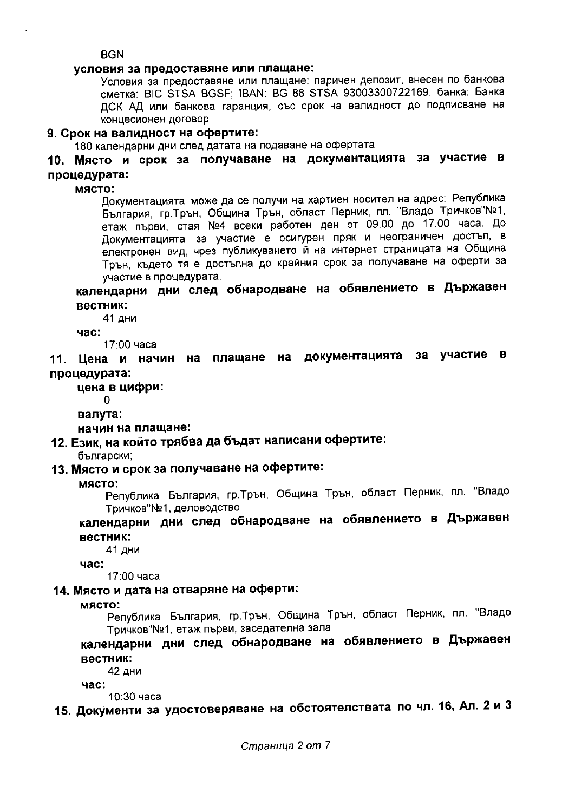**BGN** 

### условия за предоставяне или плашане:

Условия за предоставяне или плащане: паричен депозит, внесен по банкова сметка: BIC STSA BGSF; IBAN: BG 88 STSA 93003300722169, банка: Банка ДСК АД или банкова гаранция, със срок на валидност до подписване на концесионен договор

### 9. Срок на валидност на офертите:

180 календарни дни след датата на подаване на офертата

# 10. Място и срок за получаване на документацията за участие в процедурата:

място:

Документацията може да се получи на хартиен носител на адрес: Република България, гр. Трън, Община Трън, област Перник, пл. "Владо Тричков"№1, етаж първи, стая №4 всеки работен ден от 09.00 до 17.00 часа. До Документацията за участие е осигурен пряк и неограничен достъп, в електронен вид, чрез публикуването й на интернет страницата на Община Трън, където тя е достъпна до крайния срок за получаване на оферти за участие в процедурата.

# календарни дни след обнародване на обявлението в Държавен вестник:

41 дни

час:

17:00 часа

11. Цена и начин на плащане на документацията за участие в процедурата:

цена в цифри:

0

валута:

начин на плащане:

# 12. Език, на който трябва да бъдат написани офертите:

български:

# 13. Място и срок за получаване на офертите:

### място:

Република България, гр. Трън, Община Трън, област Перник, пл. "Владо Тричков"№1, деловодство

# календарни дни след обнародване на обявлението в Държавен вестник:

41 дни

 $4ac$ :

17:00 часа

## 14. Място и дата на отваряне на оферти:

място:

Република България, гр.Трън, Община Трън, област Перник, пл. "Владо Тричков"№1, етаж първи, заседателна зала

# календарни дни след обнародване на обявлението в Държавен вестник:

42 дни

час:

10:30 часа

15. Документи за удостоверяване на обстоятелствата по чл. 16, Ал. 2 и 3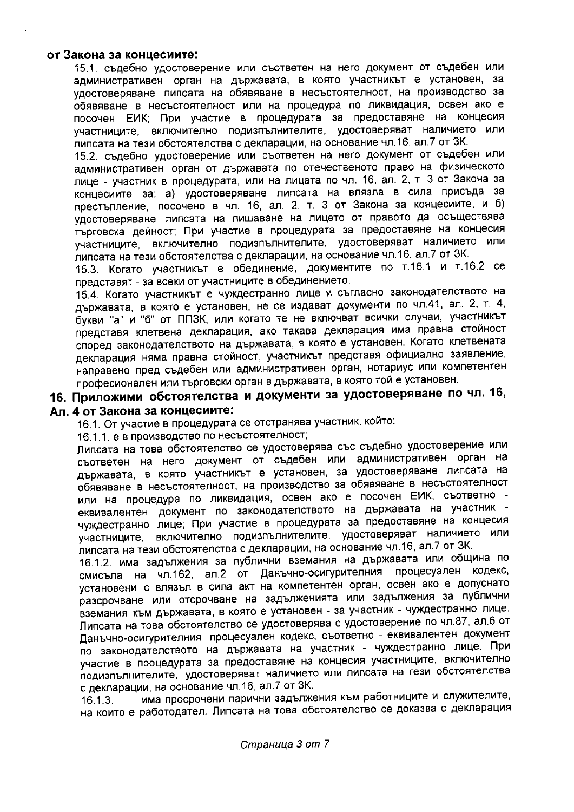### от Закона за концесиите:

15.1. съдебно удостоверение или съответен на него документ от съдебен или административен орган на държавата, в която участникът е установен, за удостоверяване липсата на обявяване в несъстоятелност, на производство за обявяване в несъстоятелност или на процедура по ликвидация, освен ако е посочен ЕИК; При участие в процедурата за предоставяне на концесия участниците, включително подизпълнителите, удостоверяват наличието или липсата на тези обстоятелства с декларации, на основание чл.16, ал.7 от ЗК.

15.2. съдебно удостоверение или съответен на него документ от съдебен или административен орган от държавата по отечественото право на физическото лице - участник в процедурата, или на лицата по чл. 16, ал. 2, т. 3 от Закона за концесиите за: а) удостоверяване липсата на влязла в сила присъда за престъпление, посочено в чл. 16, ал. 2, т. 3 от Закона за концесиите, и б) удостоверяване липсата на лишаване на лицето от правото да осъществява търговска дейност; При участие в процедурата за предоставяне на концесия участниците, включително подизпълнителите, удостоверяват наличието или липсата на тези обстоятелства с декларации, на основание чл.16, ал.7 от ЗК.

15.3. Когато участникът е обединение, документите по т.16.1 и т.16.2 се представят - за всеки от участниците в обединението.

15.4. Когато участникът е чуждестранно лице и съгласно законодателството на държавата, в която е установен, не се издават документи по чл.41, ал. 2, т. 4, букви "а" и "б" от ППЗК, или когато те не включват всички случаи, участникът представя клетвена декларация, ако такава декларация има правна стойност според законодателството на държавата, в която е установен. Когато клетвената декларация няма правна стойност, участникът представя официално заявление, направено пред съдебен или административен орган, нотариус или компетентен професионален или търговски орган в държавата, в която той е установен.

# 16. Приложими обстоятелства и документи за удостоверяване по чл. 16, Ал. 4 от Закона за концесиите:

16.1. От участие в процедурата се отстранява участник, който:

16.1.1. е в производство по несъстоятелност;

Липсата на това обстоятелство се удостоверява със съдебно удостоверение или съответен на него документ от съдебен или административен орган на държавата, в която участникът е установен, за удостоверяване липсата на обявяване в несъстоятелност, на производство за обявяване в несъстоятелност или на процедура по ликвидация, освен ако е посочен ЕИК, съответно еквивалентен документ по законодателството на държавата на участник чуждестранно лице; При участие в процедурата за предоставяне на концесия участниците, включително подизпълнителите, удостоверяват наличието или липсата на тези обстоятелства с декларации, на основание чл.16, ал.7 от ЗК.

16.1.2. има задължения за публични вземания на държавата или община по смисъла на чл.162, ал.2 от Данъчно-осигурителния процесуален кодекс, установени с влязъл в сила акт на компетентен орган, освен ако е допуснато разсрочване или отсрочване на задълженията или задължения за публични вземания към държавата, в която е установен - за участник - чуждестранно лице. Липсата на това обстоятелство се удостоверява с удостоверение по чл.87, ал.6 от Данъчно-осигурителния процесуален кодекс, съответно - еквивалентен документ по законодателството на държавата на участник - чуждестранно лице. При участие в процедурата за предоставяне на концесия участниците, включително подизпълнителите, удостоверяват наличието или липсата на тези обстоятелства с декларации, на основание чл.16, ал.7 от ЗК.

има просрочени парични задължения към работниците и служителите,  $16.1.3.$ на които е работодател. Липсата на това обстоятелство се доказва с декларация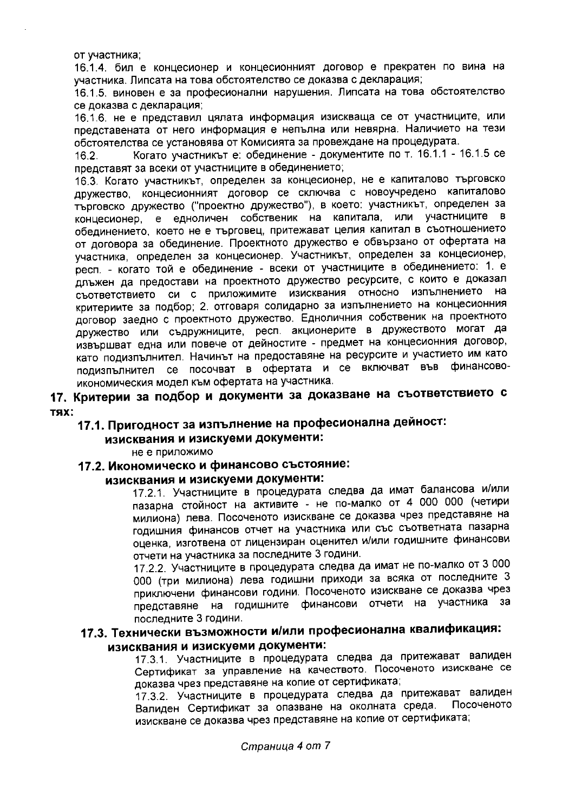от участника;

16.1.4. бил е концесионер и концесионният договор е прекратен по вина на участника. Липсата на това обстоятелство се доказва с декларация;

16.1.5. виновен е за професионални нарушения. Липсата на това обстоятелство се доказва с декларация;

16.1.6. не е представил цялата информация изискваща се от участниците, или представената от него информация е непълна или невярна. Наличието на тези обстоятелства се установява от Комисията за провеждане на процедурата.

Когато участникът е: обединение - документите по т. 16.1.1 - 16.1.5 се  $16.2.$ представят за всеки от участниците в обединението;

16.3. Когато участникът, определен за концесионер, не е капиталово търговско дружество, концесионният договор се сключва с новоучредено капиталово търговско дружество ("проектно дружество"), в което: участникът, определен за концесионер, е едноличен собственик на капитала, или участниците в обединението, което не е търговец, притежават целия капитал в съотношението от договора за обединение. Проектното дружество е обвързано от офертата на участника, определен за концесионер. Участникът, определен за концесионер, респ. - когато той е обединение - всеки от участниците в обединението: 1. е длъжен да предостави на проектното дружество ресурсите, с които е доказал съответствието си с приложимите изисквания относно изпълнението на критериите за подбор; 2. отговаря солидарно за изпълнението на концесионния договор заедно с проектното дружество. Едноличния собственик на проектното дружество или съдружниците, респ. акционерите в дружеството могат да извършват една или повече от дейностите - предмет на концесионния договор, като подизпълнител. Начинът на предоставяне на ресурсите и участието им като подизпълнител се посочват в офертата и се включват във финансовоикономическия модел към офертата на участника.

# 17. Критерии за подбор и документи за доказване на съответствието с **TRX:**

# 17.1. Пригодност за изпълнение на професионална дейност:

### изисквания и изискуеми документи:

не е приложимо

## 17.2. Икономическо и финансово състояние:

### изисквания и изискуеми документи:

17.2.1. Участниците в процедурата следва да имат балансова и/или пазарна стойност на активите - не по-малко от 4 000 000 (четири милиона) лева. Посоченото изискване се доказва чрез представяне на годишния финансов отчет на участника или със съответната пазарна оценка, изготвена от лицензиран оценител и/или годишните финансови отчети на участника за последните 3 години.

17.2.2. Участниците в процедурата следва да имат не по-малко от 3 000 000 (три милиона) лева годишни приходи за всяка от последните 3 приключени финансови години. Посоченото изискване се доказва чрез представяне на годишните финансови отчети на участника за последните 3 години.

# 17.3. Технически възможности и/или професионална квалификация: изисквания и изискуеми документи:

17.3.1. Участниците в процедурата следва да притежават валиден Сертификат за управление на качеството. Посоченото изискване се доказва чрез представяне на копие от сертификата;

17.3.2. Участниците в процедурата следва да притежават валиден Валиден Сертификат за опазване на околната среда. Посоченото изискване се доказва чрез представяне на копие от сертификата;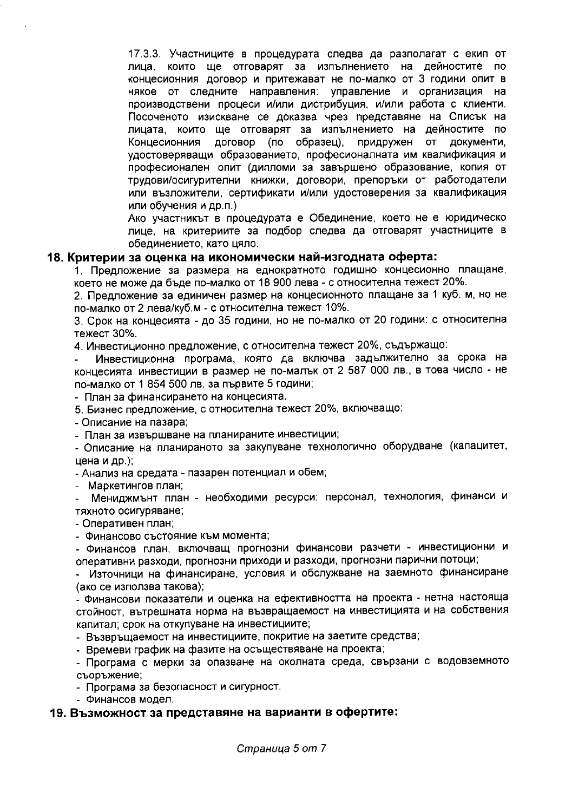17.3.3. Участниците в процедурата следва да разполагат с екип от които ще отговарят за изпълнението на дейностите по лица. концесионния договор и притежават не по-малко от 3 години опит в някое от следните направления: управление и организация на производствени процеси и/или дистрибуция, и/или работа с клиенти. Посоченото изискване се доказва чрез представяне на Списък на лицата, които ще отговарят за изпълнението на дейностите по Концесионния договор (по образец), придружен **OT** документи, удостоверяващи образованието, професионалната им квалификация и професионален опит (дипломи за завършено образование, копия от трудови/осигурителни книжки, договори, препоръки от работодатели или възложители, сертификати и/или удостоверения за квалификация или обучения и др.п.)

Ако участникът в процедурата е Обединение, което не е юридическо лице, на критериите за подбор следва да отговарят участниците в обединението, като цяло.

#### 18. Критерии за оценка на икономически най-изгодната оферта:

1. Предложение за размера на еднократното годишно концесионно плащане, което не може да бъде по-малко от 18 900 лева - с относителна тежест 20%.

2. Предложение за единичен размер на концесионното плащане за 1 куб. м, но не по-малко от 2 лева/куб.м - с относителна тежест 10%.

3. Срок на концесията - до 35 години, но не по-малко от 20 години: с относителна тежест 30%.

4. Инвестиционно предложение, с относителна тежест 20%, съдържащо:

Инвестиционна програма, която да включва задължително за срока на концесията инвестиции в размер не по-малък от 2 587 000 лв., в това число - не по-малко от 1 854 500 лв. за първите 5 години;

- План за финансирането на концесията.

5. Бизнес предложение, с относителна тежест 20%, включващо:

- Описание на пазара;

- План за извършване на планираните инвестиции;

- Олисание на планираното за закупуване технологично оборудване (капацитет, цена и др.);

- Анализ на средата - пазарен потенциал и обем;

- Маркетингов план;

Мениджмънт план - необходими ресурси: персонал, технология, финанси и тяхното осигуряване;

- Оперативен план;

- Финансово състояние към момента;

- Финансов план, включващ прогнозни финансови разчети - инвестиционни и оперативни разходи, прогнозни приходи и разходи, прогнозни парични потоци;

- Източници на финансиране, условия и обслужване на заемното финансиране (ако се използва такова);

- Финансови показатели и оценка на ефективността на проекта - нетна настояща стойност, вътрешната норма на възвращаемост на инвестицията и на собствения капитал; срок на откупуване на инвестициите;

- Възвръщаемост на инвестициите, покритие на заетите средства;

- Времеви график на фазите на осъществяване на проекта;

- Програма с мерки за опазване на околната среда, свързани с водовземното съоръжение;

- Програма за безопасност и сигурност.

- Финансов модел.

### 19. Възможност за представяне на варианти в офертите:

Страница 5 от 7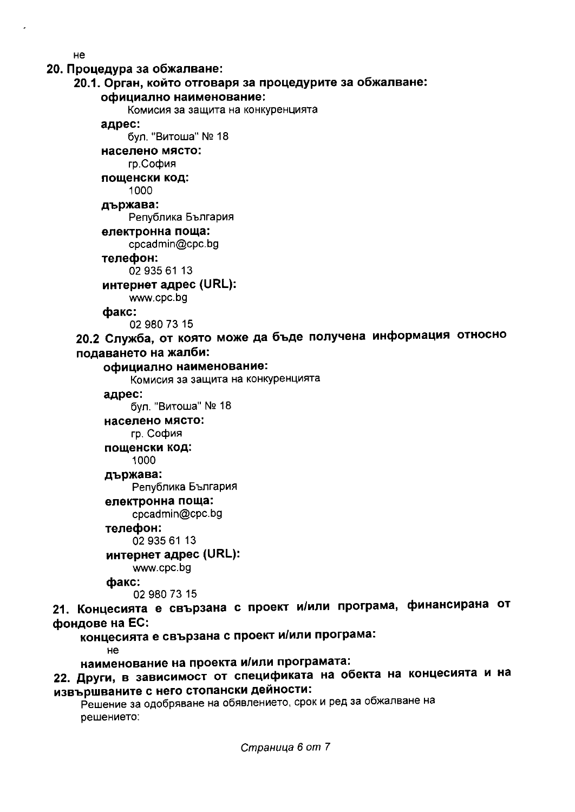#### не

### 20. Процедура за обжалване:

### 20.1. Орган, който отговаря за процедурите за обжалване:

### официално наименование:

Комисия за защита на конкуренцията

#### адрес:

бул. "Витоша" № 18

### населено място:

гр.София

### пощенски код:

1000

### държава:

Република България

### електронна поща:

cpcadmin@cpc.bg

#### телефон:

02 935 61 13

#### интернет адрес (URL):

www.cpc.bg

#### факс:

02 980 73 15

# 20.2 Служба, от която може да бъде получена информация относно подаването на жалби:

#### официално наименование:

Комисия за защита на конкуренцията

#### адрес:

бул. "Витоша" № 18

#### населено място:

гр. София

#### пощенски код:

1000

### държава:

Република България

### електронна поща:

cpcadmin@cpc.bg

#### телефон:

02 935 61 13

### интернет адрес (URL):

www.cpc.bg

#### факс:

02 980 73 15

# 21. Концесията е свързана с проект и/или програма, финансирана от фондове на ЕС:

концесията е свързана с проект и/или програма:

не

### наименование на проекта и/или програмата:

# 22. Други, в зависимост от спецификата на обекта на концесията и на извършваните с него стопански дейности:

Решение за одобряване на обявлението, срок и ред за обжалване на решението: